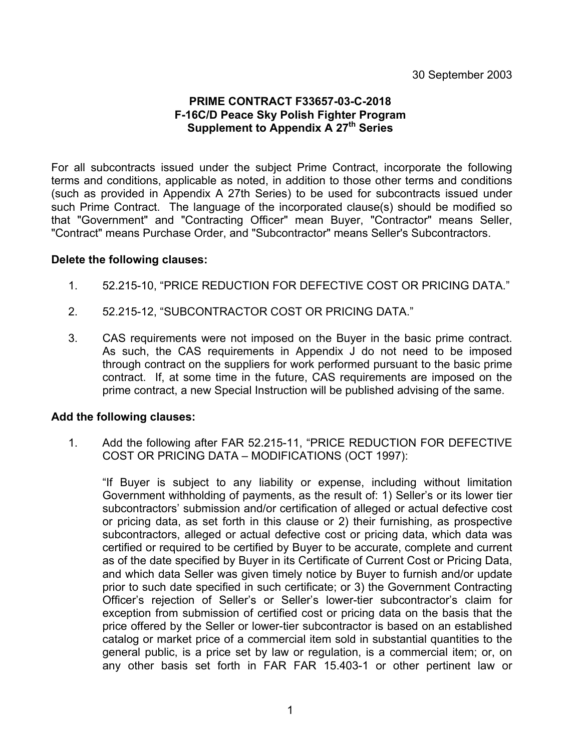# **PRIME CONTRACT F33657-03-C-2018 F-16C/D Peace Sky Polish Fighter Program Supplement to Appendix A 27th Series**

For all subcontracts issued under the subject Prime Contract, incorporate the following terms and conditions, applicable as noted, in addition to those other terms and conditions (such as provided in Appendix A 27th Series) to be used for subcontracts issued under such Prime Contract. The language of the incorporated clause(s) should be modified so that "Government" and "Contracting Officer" mean Buyer, "Contractor" means Seller, "Contract" means Purchase Order, and "Subcontractor" means Seller's Subcontractors.

#### **Delete the following clauses:**

- 1. 52.215-10, "PRICE REDUCTION FOR DEFECTIVE COST OR PRICING DATA."
- 2. 52.215-12, "SUBCONTRACTOR COST OR PRICING DATA."
- 3. CAS requirements were not imposed on the Buyer in the basic prime contract. As such, the CAS requirements in Appendix J do not need to be imposed through contract on the suppliers for work performed pursuant to the basic prime contract. If, at some time in the future, CAS requirements are imposed on the prime contract, a new Special Instruction will be published advising of the same.

#### **Add the following clauses:**

1. Add the following after FAR 52.215-11, "PRICE REDUCTION FOR DEFECTIVE COST OR PRICING DATA – MODIFICATIONS (OCT 1997):

"If Buyer is subject to any liability or expense, including without limitation Government withholding of payments, as the result of: 1) Seller's or its lower tier subcontractors' submission and/or certification of alleged or actual defective cost or pricing data, as set forth in this clause or 2) their furnishing, as prospective subcontractors, alleged or actual defective cost or pricing data, which data was certified or required to be certified by Buyer to be accurate, complete and current as of the date specified by Buyer in its Certificate of Current Cost or Pricing Data, and which data Seller was given timely notice by Buyer to furnish and/or update prior to such date specified in such certificate; or 3) the Government Contracting Officer's rejection of Seller's or Seller's lower-tier subcontractor's claim for exception from submission of certified cost or pricing data on the basis that the price offered by the Seller or lower-tier subcontractor is based on an established catalog or market price of a commercial item sold in substantial quantities to the general public, is a price set by law or regulation, is a commercial item; or, on any other basis set forth in FAR FAR 15.403-1 or other pertinent law or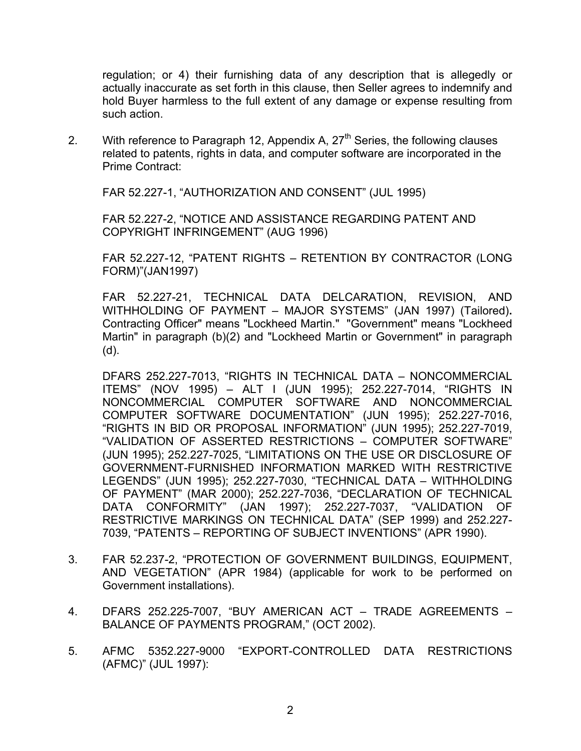regulation; or 4) their furnishing data of any description that is allegedly or actually inaccurate as set forth in this clause, then Seller agrees to indemnify and hold Buyer harmless to the full extent of any damage or expense resulting from such action.

2. With reference to Paragraph 12, Appendix A,  $27<sup>th</sup>$  Series, the following clauses related to patents, rights in data, and computer software are incorporated in the Prime Contract:

FAR 52.227-1, "AUTHORIZATION AND CONSENT" (JUL 1995)

FAR 52.227-2, "NOTICE AND ASSISTANCE REGARDING PATENT AND COPYRIGHT INFRINGEMENT" (AUG 1996)

FAR 52.227-12, "PATENT RIGHTS – RETENTION BY CONTRACTOR (LONG FORM)"(JAN1997)

FAR 52.227-21, TECHNICAL DATA DELCARATION, REVISION, AND WITHHOLDING OF PAYMENT – MAJOR SYSTEMS" (JAN 1997) (Tailored)**.**  Contracting Officer" means "Lockheed Martin." "Government" means "Lockheed Martin" in paragraph (b)(2) and "Lockheed Martin or Government" in paragraph (d).

DFARS 252.227-7013, "RIGHTS IN TECHNICAL DATA – NONCOMMERCIAL ITEMS" (NOV 1995) – ALT I (JUN 1995); 252.227-7014, "RIGHTS IN NONCOMMERCIAL COMPUTER SOFTWARE AND NONCOMMERCIAL COMPUTER SOFTWARE DOCUMENTATION" (JUN 1995); 252.227-7016, "RIGHTS IN BID OR PROPOSAL INFORMATION" (JUN 1995); 252.227-7019, "VALIDATION OF ASSERTED RESTRICTIONS – COMPUTER SOFTWARE" (JUN 1995); 252.227-7025, "LIMITATIONS ON THE USE OR DISCLOSURE OF GOVERNMENT-FURNISHED INFORMATION MARKED WITH RESTRICTIVE LEGENDS" (JUN 1995); 252.227-7030, "TECHNICAL DATA – WITHHOLDING OF PAYMENT" (MAR 2000); 252.227-7036, "DECLARATION OF TECHNICAL DATA CONFORMITY" (JAN 1997); 252.227-7037, "VALIDATION OF RESTRICTIVE MARKINGS ON TECHNICAL DATA" (SEP 1999) and 252.227- 7039, "PATENTS – REPORTING OF SUBJECT INVENTIONS" (APR 1990).

- 3. FAR 52.237-2, "PROTECTION OF GOVERNMENT BUILDINGS, EQUIPMENT, AND VEGETATION" (APR 1984) (applicable for work to be performed on Government installations).
- 4. DFARS 252.225-7007, "BUY AMERICAN ACT TRADE AGREEMENTS BALANCE OF PAYMENTS PROGRAM," (OCT 2002).
- 5. AFMC 5352.227-9000 "EXPORT-CONTROLLED DATA RESTRICTIONS (AFMC)" (JUL 1997):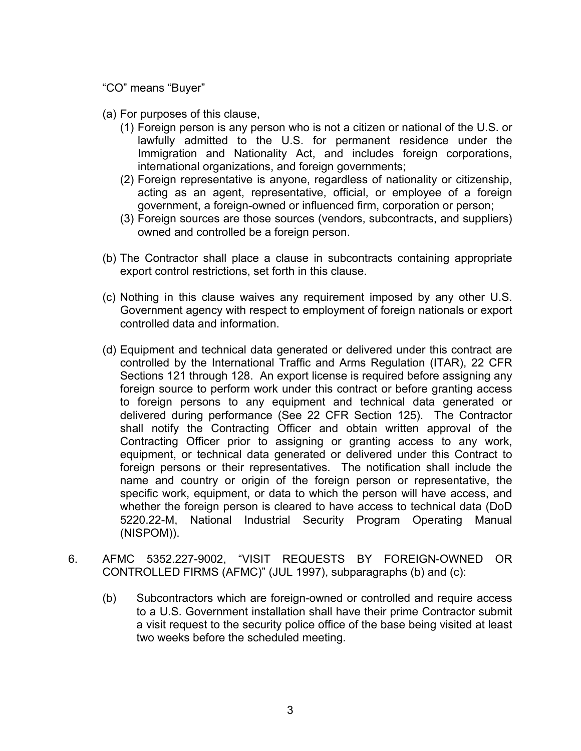"CO" means "Buyer"

- (a) For purposes of this clause,
	- (1) Foreign person is any person who is not a citizen or national of the U.S. or lawfully admitted to the U.S. for permanent residence under the Immigration and Nationality Act, and includes foreign corporations, international organizations, and foreign governments;
	- (2) Foreign representative is anyone, regardless of nationality or citizenship, acting as an agent, representative, official, or employee of a foreign government, a foreign-owned or influenced firm, corporation or person;
	- (3) Foreign sources are those sources (vendors, subcontracts, and suppliers) owned and controlled be a foreign person.
- (b) The Contractor shall place a clause in subcontracts containing appropriate export control restrictions, set forth in this clause.
- (c) Nothing in this clause waives any requirement imposed by any other U.S. Government agency with respect to employment of foreign nationals or export controlled data and information.
- (d) Equipment and technical data generated or delivered under this contract are controlled by the International Traffic and Arms Regulation (ITAR), 22 CFR Sections 121 through 128. An export license is required before assigning any foreign source to perform work under this contract or before granting access to foreign persons to any equipment and technical data generated or delivered during performance (See 22 CFR Section 125). The Contractor shall notify the Contracting Officer and obtain written approval of the Contracting Officer prior to assigning or granting access to any work, equipment, or technical data generated or delivered under this Contract to foreign persons or their representatives. The notification shall include the name and country or origin of the foreign person or representative, the specific work, equipment, or data to which the person will have access, and whether the foreign person is cleared to have access to technical data (DoD 5220.22-M, National Industrial Security Program Operating Manual (NISPOM)).
- 6. AFMC 5352.227-9002, "VISIT REQUESTS BY FOREIGN-OWNED OR CONTROLLED FIRMS (AFMC)" (JUL 1997), subparagraphs (b) and (c):
	- (b) Subcontractors which are foreign-owned or controlled and require access to a U.S. Government installation shall have their prime Contractor submit a visit request to the security police office of the base being visited at least two weeks before the scheduled meeting.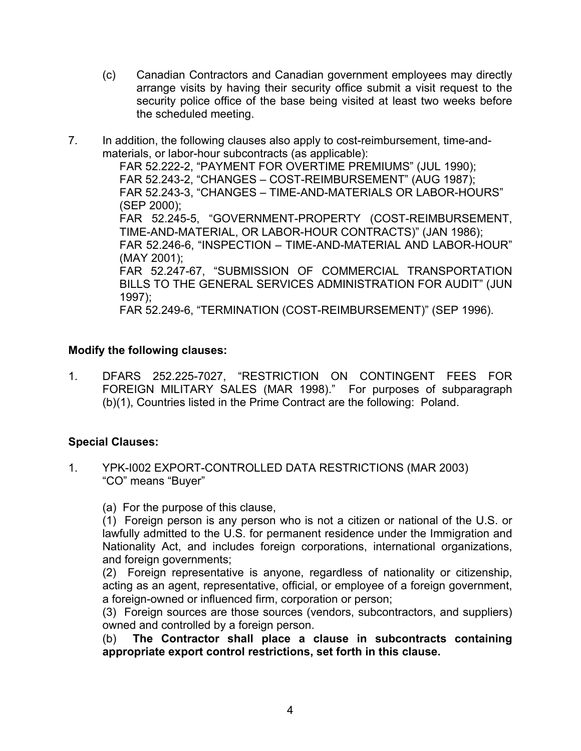- (c) Canadian Contractors and Canadian government employees may directly arrange visits by having their security office submit a visit request to the security police office of the base being visited at least two weeks before the scheduled meeting.
- 7. In addition, the following clauses also apply to cost-reimbursement, time-andmaterials, or labor-hour subcontracts (as applicable):

FAR 52.222-2, "PAYMENT FOR OVERTIME PREMIUMS" (JUL 1990); FAR 52.243-2, "CHANGES – COST-REIMBURSEMENT" (AUG 1987); FAR 52.243-3, "CHANGES – TIME-AND-MATERIALS OR LABOR-HOURS" (SEP 2000); FAR 52.245-5, "GOVERNMENT-PROPERTY (COST-REIMBURSEMENT, TIME-AND-MATERIAL, OR LABOR-HOUR CONTRACTS)" (JAN 1986); FAR 52.246-6, "INSPECTION – TIME-AND-MATERIAL AND LABOR-HOUR" (MAY 2001); FAR 52.247-67, "SUBMISSION OF COMMERCIAL TRANSPORTATION BILLS TO THE GENERAL SERVICES ADMINISTRATION FOR AUDIT" (JUN 1997); FAR 52.249-6, "TERMINATION (COST-REIMBURSEMENT)" (SEP 1996).

# **Modify the following clauses:**

1. DFARS 252.225-7027, "RESTRICTION ON CONTINGENT FEES FOR FOREIGN MILITARY SALES (MAR 1998)." For purposes of subparagraph (b)(1), Countries listed in the Prime Contract are the following: Poland.

### **Special Clauses:**

1. YPK-I002 EXPORT-CONTROLLED DATA RESTRICTIONS (MAR 2003) "CO" means "Buyer"

(a) For the purpose of this clause,

(1) Foreign person is any person who is not a citizen or national of the U.S. or lawfully admitted to the U.S. for permanent residence under the Immigration and Nationality Act, and includes foreign corporations, international organizations, and foreign governments;

(2) Foreign representative is anyone, regardless of nationality or citizenship, acting as an agent, representative, official, or employee of a foreign government, a foreign-owned or influenced firm, corporation or person;

(3) Foreign sources are those sources (vendors, subcontractors, and suppliers) owned and controlled by a foreign person.

(b) **The Contractor shall place a clause in subcontracts containing appropriate export control restrictions, set forth in this clause.**